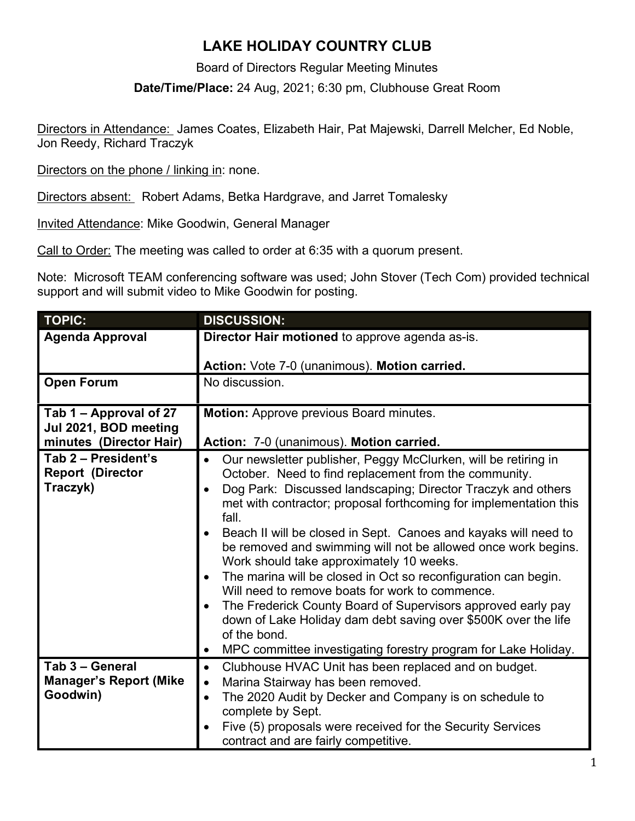## **LAKE HOLIDAY COUNTRY CLUB**

Board of Directors Regular Meeting Minutes

**Date/Time/Place:** 24 Aug, 2021; 6:30 pm, Clubhouse Great Room

Directors in Attendance: James Coates, Elizabeth Hair, Pat Majewski, Darrell Melcher, Ed Noble, Jon Reedy, Richard Traczyk

Directors on the phone / linking in: none.

Directors absent: Robert Adams, Betka Hardgrave, and Jarret Tomalesky

Invited Attendance: Mike Goodwin, General Manager

Call to Order: The meeting was called to order at 6:35 with a quorum present.

Note: Microsoft TEAM conferencing software was used; John Stover (Tech Com) provided technical support and will submit video to Mike Goodwin for posting.

| <b>TOPIC:</b>                                                              | <b>DISCUSSION:</b>                                                                                                                                                                                                                                                                                                                                                                                                                                                                                                                                                                                                                                                                                                                                                                                                                                 |
|----------------------------------------------------------------------------|----------------------------------------------------------------------------------------------------------------------------------------------------------------------------------------------------------------------------------------------------------------------------------------------------------------------------------------------------------------------------------------------------------------------------------------------------------------------------------------------------------------------------------------------------------------------------------------------------------------------------------------------------------------------------------------------------------------------------------------------------------------------------------------------------------------------------------------------------|
| <b>Agenda Approval</b>                                                     | Director Hair motioned to approve agenda as-is.                                                                                                                                                                                                                                                                                                                                                                                                                                                                                                                                                                                                                                                                                                                                                                                                    |
|                                                                            |                                                                                                                                                                                                                                                                                                                                                                                                                                                                                                                                                                                                                                                                                                                                                                                                                                                    |
|                                                                            | Action: Vote 7-0 (unanimous). Motion carried.                                                                                                                                                                                                                                                                                                                                                                                                                                                                                                                                                                                                                                                                                                                                                                                                      |
| <b>Open Forum</b>                                                          | No discussion.                                                                                                                                                                                                                                                                                                                                                                                                                                                                                                                                                                                                                                                                                                                                                                                                                                     |
| Tab 1 - Approval of 27<br>Jul 2021, BOD meeting<br>minutes (Director Hair) | <b>Motion:</b> Approve previous Board minutes.<br>Action: 7-0 (unanimous). Motion carried.                                                                                                                                                                                                                                                                                                                                                                                                                                                                                                                                                                                                                                                                                                                                                         |
| Tab 2 - President's<br><b>Report (Director</b><br>Traczyk)                 | Our newsletter publisher, Peggy McClurken, will be retiring in<br>October. Need to find replacement from the community.<br>Dog Park: Discussed landscaping; Director Traczyk and others<br>$\bullet$<br>met with contractor; proposal forthcoming for implementation this<br>fall.<br>Beach II will be closed in Sept. Canoes and kayaks will need to<br>be removed and swimming will not be allowed once work begins.<br>Work should take approximately 10 weeks.<br>The marina will be closed in Oct so reconfiguration can begin.<br>$\bullet$<br>Will need to remove boats for work to commence.<br>The Frederick County Board of Supervisors approved early pay<br>$\bullet$<br>down of Lake Holiday dam debt saving over \$500K over the life<br>of the bond.<br>MPC committee investigating forestry program for Lake Holiday.<br>$\bullet$ |
| Tab 3 - General<br><b>Manager's Report (Mike</b><br>Goodwin)               | Clubhouse HVAC Unit has been replaced and on budget.<br>$\bullet$<br>Marina Stairway has been removed.<br>$\bullet$<br>The 2020 Audit by Decker and Company is on schedule to<br>$\bullet$<br>complete by Sept.<br>Five (5) proposals were received for the Security Services<br>contract and are fairly competitive.                                                                                                                                                                                                                                                                                                                                                                                                                                                                                                                              |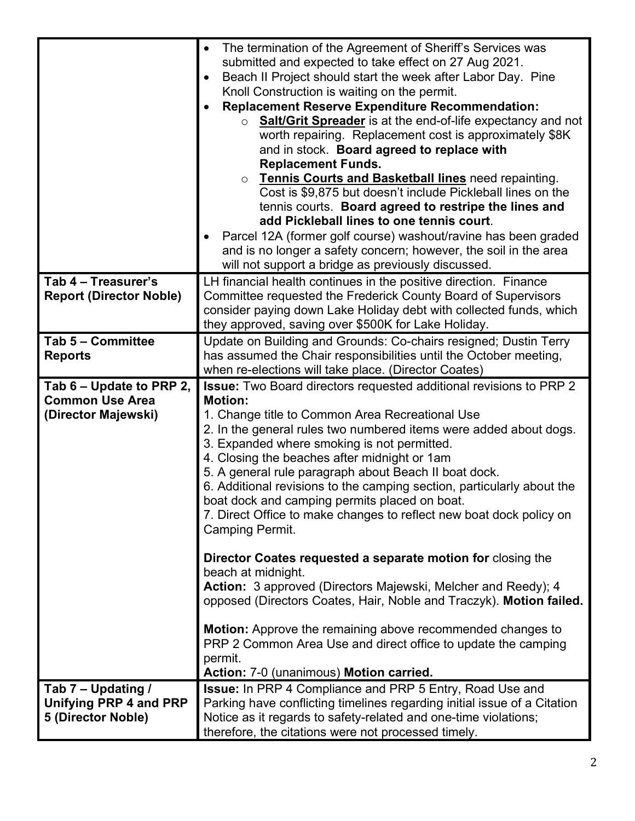|                                                    | The termination of the Agreement of Sheriff's Services was<br>$\bullet$                                                               |
|----------------------------------------------------|---------------------------------------------------------------------------------------------------------------------------------------|
|                                                    | submitted and expected to take effect on 27 Aug 2021.                                                                                 |
|                                                    | Beach II Project should start the week after Labor Day. Pine                                                                          |
|                                                    | Knoll Construction is waiting on the permit.                                                                                          |
|                                                    | <b>Replacement Reserve Expenditure Recommendation:</b>                                                                                |
|                                                    | ○ <b>Salt/Grit Spreader</b> is at the end-of-life expectancy and not                                                                  |
|                                                    | worth repairing. Replacement cost is approximately \$8K                                                                               |
|                                                    | and in stock. Board agreed to replace with                                                                                            |
|                                                    | <b>Replacement Funds.</b>                                                                                                             |
|                                                    | Tennis Courts and Basketball lines need repainting.<br>$\circ$<br>Cost is \$9,875 but doesn't include Pickleball lines on the         |
|                                                    | tennis courts. Board agreed to restripe the lines and                                                                                 |
|                                                    | add Pickleball lines to one tennis court.                                                                                             |
|                                                    |                                                                                                                                       |
|                                                    | Parcel 12A (former golf course) washout/ravine has been graded<br>and is no longer a safety concern; however, the soil in the area    |
|                                                    | will not support a bridge as previously discussed.                                                                                    |
|                                                    |                                                                                                                                       |
| Tab 4 - Treasurer's                                | LH financial health continues in the positive direction. Finance<br>Committee requested the Frederick County Board of Supervisors     |
| <b>Report (Director Noble)</b>                     | consider paying down Lake Holiday debt with collected funds, which                                                                    |
|                                                    | they approved, saving over \$500K for Lake Holiday.                                                                                   |
| Tab 5 - Committee                                  |                                                                                                                                       |
| <b>Reports</b>                                     | Update on Building and Grounds: Co-chairs resigned; Dustin Terry<br>has assumed the Chair responsibilities until the October meeting, |
|                                                    | when re-elections will take place. (Director Coates)                                                                                  |
|                                                    |                                                                                                                                       |
| Tab 6 – Update to PRP 2,<br><b>Common Use Area</b> | <b>Issue:</b> Two Board directors requested additional revisions to PRP 2<br><b>Motion:</b>                                           |
| (Director Majewski)                                | 1. Change title to Common Area Recreational Use                                                                                       |
|                                                    | 2. In the general rules two numbered items were added about dogs.                                                                     |
|                                                    | 3. Expanded where smoking is not permitted.                                                                                           |
|                                                    | 4. Closing the beaches after midnight or 1am                                                                                          |
|                                                    | 5. A general rule paragraph about Beach II boat dock.                                                                                 |
|                                                    | 6. Additional revisions to the camping section, particularly about the                                                                |
|                                                    | boat dock and camping permits placed on boat.                                                                                         |
|                                                    | 7. Direct Office to make changes to reflect new boat dock policy on                                                                   |
|                                                    | <b>Camping Permit.</b>                                                                                                                |
|                                                    |                                                                                                                                       |
|                                                    | Director Coates requested a separate motion for closing the                                                                           |
|                                                    | beach at midnight.                                                                                                                    |
|                                                    | Action: 3 approved (Directors Majewski, Melcher and Reedy); 4                                                                         |
|                                                    | opposed (Directors Coates, Hair, Noble and Traczyk). Motion failed.                                                                   |
|                                                    |                                                                                                                                       |
|                                                    | <b>Motion:</b> Approve the remaining above recommended changes to                                                                     |
|                                                    | PRP 2 Common Area Use and direct office to update the camping                                                                         |
|                                                    | permit.                                                                                                                               |
|                                                    | Action: 7-0 (unanimous) Motion carried.                                                                                               |
| Tab 7 - Updating /                                 | <b>Issue:</b> In PRP 4 Compliance and PRP 5 Entry, Road Use and                                                                       |
| Unifying PRP 4 and PRP                             | Parking have conflicting timelines regarding initial issue of a Citation                                                              |
| 5 (Director Noble)                                 | Notice as it regards to safety-related and one-time violations;                                                                       |
|                                                    | therefore, the citations were not processed timely.                                                                                   |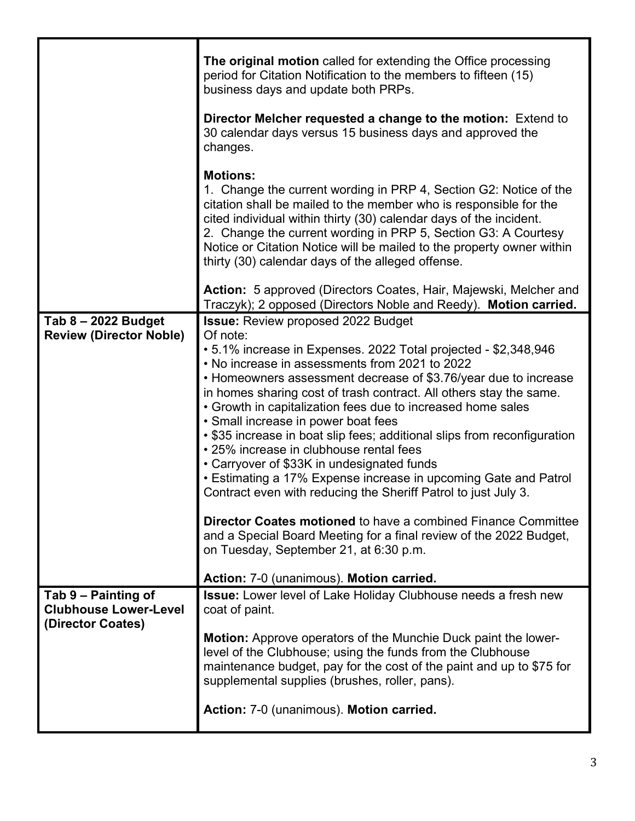|                                                     | The original motion called for extending the Office processing<br>period for Citation Notification to the members to fifteen (15)<br>business days and update both PRPs.<br>Director Melcher requested a change to the motion: Extend to<br>30 calendar days versus 15 business days and approved the<br>changes.<br><b>Motions:</b>                                                                         |
|-----------------------------------------------------|--------------------------------------------------------------------------------------------------------------------------------------------------------------------------------------------------------------------------------------------------------------------------------------------------------------------------------------------------------------------------------------------------------------|
|                                                     | 1. Change the current wording in PRP 4, Section G2: Notice of the<br>citation shall be mailed to the member who is responsible for the<br>cited individual within thirty (30) calendar days of the incident.<br>2. Change the current wording in PRP 5, Section G3: A Courtesy<br>Notice or Citation Notice will be mailed to the property owner within<br>thirty (30) calendar days of the alleged offense. |
|                                                     | Action: 5 approved (Directors Coates, Hair, Majewski, Melcher and<br>Traczyk); 2 opposed (Directors Noble and Reedy). Motion carried.                                                                                                                                                                                                                                                                        |
| Tab 8 - 2022 Budget                                 | <b>Issue: Review proposed 2022 Budget</b>                                                                                                                                                                                                                                                                                                                                                                    |
| <b>Review (Director Noble)</b>                      | Of note:                                                                                                                                                                                                                                                                                                                                                                                                     |
|                                                     | • 5.1% increase in Expenses. 2022 Total projected - \$2,348,946                                                                                                                                                                                                                                                                                                                                              |
|                                                     | • No increase in assessments from 2021 to 2022<br>• Homeowners assessment decrease of \$3.76/year due to increase                                                                                                                                                                                                                                                                                            |
|                                                     | in homes sharing cost of trash contract. All others stay the same.                                                                                                                                                                                                                                                                                                                                           |
|                                                     | • Growth in capitalization fees due to increased home sales                                                                                                                                                                                                                                                                                                                                                  |
|                                                     | • Small increase in power boat fees                                                                                                                                                                                                                                                                                                                                                                          |
|                                                     | • \$35 increase in boat slip fees; additional slips from reconfiguration                                                                                                                                                                                                                                                                                                                                     |
|                                                     | • 25% increase in clubhouse rental fees<br>• Carryover of \$33K in undesignated funds                                                                                                                                                                                                                                                                                                                        |
|                                                     | • Estimating a 17% Expense increase in upcoming Gate and Patrol                                                                                                                                                                                                                                                                                                                                              |
|                                                     | Contract even with reducing the Sheriff Patrol to just July 3.                                                                                                                                                                                                                                                                                                                                               |
|                                                     |                                                                                                                                                                                                                                                                                                                                                                                                              |
|                                                     | <b>Director Coates motioned to have a combined Finance Committee</b><br>and a Special Board Meeting for a final review of the 2022 Budget,                                                                                                                                                                                                                                                                   |
|                                                     | on Tuesday, September 21, at 6:30 p.m.                                                                                                                                                                                                                                                                                                                                                                       |
|                                                     |                                                                                                                                                                                                                                                                                                                                                                                                              |
|                                                     | Action: 7-0 (unanimous). Motion carried.                                                                                                                                                                                                                                                                                                                                                                     |
| Tab 9 – Painting of<br><b>Clubhouse Lower-Level</b> | <b>Issue:</b> Lower level of Lake Holiday Clubhouse needs a fresh new<br>coat of paint.                                                                                                                                                                                                                                                                                                                      |
| (Director Coates)                                   |                                                                                                                                                                                                                                                                                                                                                                                                              |
|                                                     | <b>Motion:</b> Approve operators of the Munchie Duck paint the lower-                                                                                                                                                                                                                                                                                                                                        |
|                                                     | level of the Clubhouse; using the funds from the Clubhouse                                                                                                                                                                                                                                                                                                                                                   |
|                                                     | maintenance budget, pay for the cost of the paint and up to \$75 for                                                                                                                                                                                                                                                                                                                                         |
|                                                     | supplemental supplies (brushes, roller, pans).                                                                                                                                                                                                                                                                                                                                                               |
|                                                     | Action: 7-0 (unanimous). Motion carried.                                                                                                                                                                                                                                                                                                                                                                     |